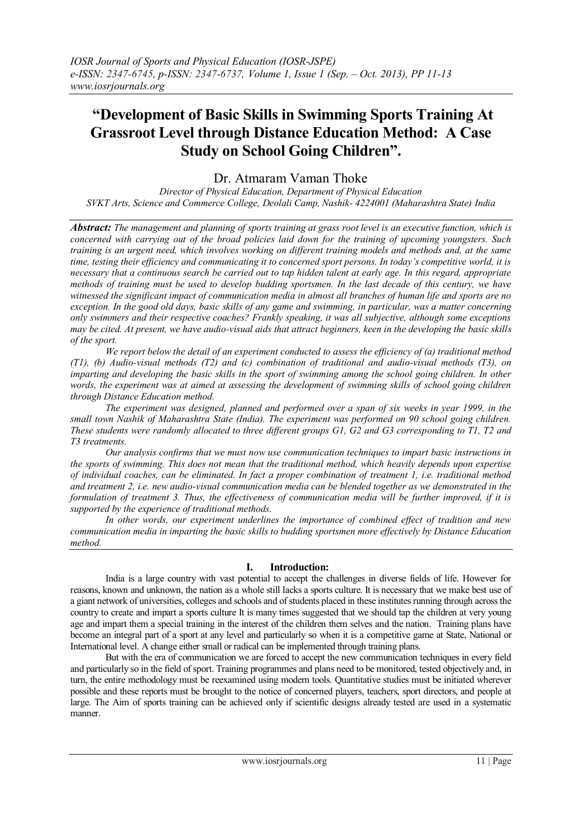# **"Development of Basic Skills in Swimming Sports Training At Grassroot Level through Distance Education Method: A Case Study on School Going Children".**

## Dr. Atmaram Vaman Thoke

*Director of Physical Education, Department of Physical Education SVKT Arts, Science and Commerce College, Deolali Camp, Nashik- 4224001 (Maharashtra State) India*

*Abstract: The management and planning of sports training at grass root level is an executive function, which is concerned with carrying out of the broad policies laid down for the training of upcoming youngsters. Such training is an urgent need, which involves working on different training models and methods and, at the same time, testing their efficiency and communicating it to concerned sport persons. In today's competitive world, it is necessary that a continuous search be carried out to tap hidden talent at early age. In this regard, appropriate methods of training must be used to develop budding sportsmen. In the last decade of this century, we have witnessed the significant impact of communication media in almost all branches of human life and sports are no exception. In the good old days, basic skills of any game and swimming, in particular, was a matter concerning only swimmers and their respective coaches? Frankly speaking, it was all subjective, although some exceptions may be cited. At present, we have audio-visual aids that attract beginners, keen in the developing the basic skills of the sport.*

*We report below the detail of an experiment conducted to assess the efficiency of (a) traditional method (T1), (b) Audio-visual methods (T2) and (c) combination of traditional and audio-visual methods (T3), on imparting and developing the basic skills in the sport of swimming among the school going children. In other words, the experiment was at aimed at assessing the development of swimming skills of school going children through Distance Education method.* 

*The experiment was designed, planned and performed over a span of six weeks in year 1999, in the small town Nashik of Maharashtra State (India). The experiment was performed on 90 school going children. These students were randomly allocated to three different groups G1, G2 and G3 corresponding to T1, T2 and T3 treatments.* 

*Our analysis confirms that we must now use communication techniques to impart basic instructions in the sports of swimming. This does not mean that the traditional method, which heavily depends upon expertise of individual coaches, can be eliminated. In fact a proper combination of treatment 1, i.e. traditional method and treatment 2, i.e. new audio-visual communication media can be blended together as we demonstrated in the formulation of treatment 3. Thus, the effectiveness of communication media will be further improved, if it is supported by the experience of traditional methods.*

*In other words, our experiment underlines the importance of combined effect of tradition and new communication media in imparting the basic skills to budding sportsmen more effectively by Distance Education method.*

#### **I. Introduction:**

India is a large country with vast potential to accept the challenges in diverse fields of life. However for reasons, known and unknown, the nation as a whole still lacks a sports culture. It is necessary that we make best use of a giant network of universities, colleges and schools and of students placed in these institutes running through across the country to create and impart a sports culture It is many times suggested that we should tap the children at very young age and impart them a special training in the interest of the children them selves and the nation. Training plans have become an integral part of a sport at any level and particularly so when it is a competitive game at State, National or International level. A change either small or radical can be implemented through training plans.

But with the era of communication we are forced to accept the new communication techniques in every field and particularly so in the field of sport. Training programmes and plans need to be monitored, tested objectively and, in turn, the entire methodology must be reexamined using modern tools. Quantitative studies must be initiated wherever possible and these reports must be brought to the notice of concerned players, teachers, sport directors, and people at large. The Aim of sports training can be achieved only if scientific designs already tested are used in a systematic manner.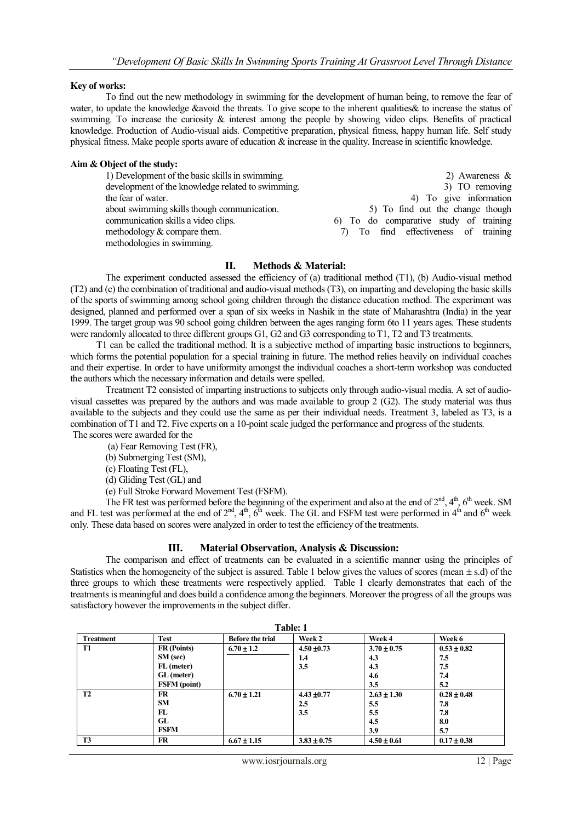#### **Key of works:**

To find out the new methodology in swimming for the development of human being, to remove the fear of water, to update the knowledge &avoid the threats. To give scope to the inherent qualities & to increase the status of swimming. To increase the curiosity & interest among the people by showing video clips. Benefits of practical knowledge. Production of Audio-visual aids. Competitive preparation, physical fitness, happy human life. Self study physical fitness. Make people sports aware of education & increase in the quality. Increase in scientific knowledge.

#### **Aim & Object of the study:**

| 1) Development of the basic skills in swimming.   | 2) Awareness $\&$                      |
|---------------------------------------------------|----------------------------------------|
| development of the knowledge related to swimming. | 3) TO removing                         |
| the fear of water.                                | 4) To give information                 |
| about swimming skills though communication.       | 5) To find out the change though       |
| communication skills a video clips.               | 6) To do comparative study of training |
| methodology $&$ compare them.                     | 7) To find effectiveness of training   |
| methodologies in swimming.                        |                                        |

#### **II. Methods & Material:**

The experiment conducted assessed the efficiency of (a) traditional method (T1), (b) Audio-visual method (T2) and (c) the combination of traditional and audio-visual methods (T3), on imparting and developing the basic skills of the sports of swimming among school going children through the distance education method. The experiment was designed, planned and performed over a span of six weeks in Nashik in the state of Maharashtra (India) in the year 1999. The target group was 90 school going children between the ages ranging form 6to 11 years ages. These students were randomly allocated to three different groups G1, G2 and G3 corresponding to T1, T2 and T3 treatments.

 T1 can be called the traditional method. It is a subjective method of imparting basic instructions to beginners, which forms the potential population for a special training in future. The method relies heavily on individual coaches and their expertise. In order to have uniformity amongst the individual coaches a short-term workshop was conducted the authors which the necessary information and details were spelled.

Treatment T2 consisted of imparting instructions to subjects only through audio-visual media. A set of audiovisual cassettes was prepared by the authors and was made available to group 2 (G2). The study material was thus available to the subjects and they could use the same as per their individual needs. Treatment 3, labeled as T3, is a combination of T1 and T2. Five experts on a 10-point scale judged the performance and progress of the students.

The scores were awarded for the

(a) Fear Removing Test (FR),

(b) Submerging Test (SM),

(c) Floating Test (FL),

(d) Gliding Test (GL) and

(e) Full Stroke Forward Movement Test (FSFM).

The FR test was performed before the beginning of the experiment and also at the end of  $2<sup>nd</sup>$ ,  $4<sup>th</sup>$ ,  $6<sup>th</sup>$  week. SM and FL test was performed at the end of  $2^{nd}$ ,  $4^{th}$ ,  $6^{th}$  week. The GL and FSFM test were performed in  $4^{th}$  and  $6^{th}$  week only. These data based on scores were analyzed in order to test the efficiency of the treatments.

### **III. Material Observation, Analysis & Discussion:**

The comparison and effect of treatments can be evaluated in a scientific manner using the principles of Statistics when the homogeneity of the subject is assured. Table 1 below gives the values of scores (mean  $\pm$  s.d) of the three groups to which these treatments were respectively applied. Table 1 clearly demonstrates that each of the treatments is meaningful and does build a confidence among the beginners. Moreover the progress of all the groups was satisfactory however the improvements in the subject differ.

| 1 able: 1 |                     |                         |                 |                 |                 |  |  |  |
|-----------|---------------------|-------------------------|-----------------|-----------------|-----------------|--|--|--|
| Treatment | <b>Test</b>         | <b>Before the trial</b> | <b>Week 2</b>   | Week 4          | Week 6          |  |  |  |
| <b>T1</b> | FR (Points)         | $6.70 \pm 1.2$          | $4.50 \pm 0.73$ | $3.70 \pm 0.75$ | $0.53 \pm 0.82$ |  |  |  |
|           | SM (sec)            |                         | 1.4             | 4.3             | 7.5             |  |  |  |
|           | FL (meter)          |                         | 3.5             | 4.3             | 7.5             |  |  |  |
|           | GL (meter)          |                         |                 | 4.6             | 7.4             |  |  |  |
|           | <b>FSFM</b> (point) |                         |                 | 3.5             | 5.2             |  |  |  |
| <b>T2</b> | <b>FR</b>           | $6.70 \pm 1.21$         | $4.43 \pm 0.77$ | $2.63 \pm 1.30$ | $0.28 \pm 0.48$ |  |  |  |
|           | <b>SM</b>           |                         | 2.5             | 5.5             | 7.8             |  |  |  |
|           | FL                  |                         | 3.5             | 5.5             | 7.8             |  |  |  |
|           | GL                  |                         |                 | 4.5             | 8.0             |  |  |  |
|           | <b>FSFM</b>         |                         |                 | 3.9             | 5.7             |  |  |  |
| <b>T3</b> | <b>FR</b>           | $6.67 \pm 1.15$         | $3.83 \pm 0.75$ | $4.50 \pm 0.61$ | $0.17 \pm 0.38$ |  |  |  |

**Table:** 1